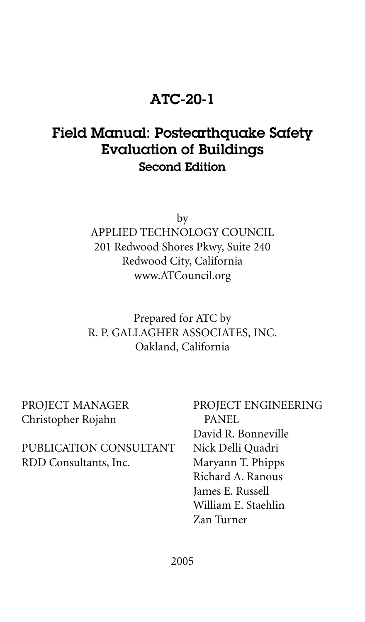## **ATC-20-1**

### **Field Manual: Postearthquake Safety Evaluation of Buildings Second Edition**

by

APPLIED TECHNOLOGY COUNCIL 201 Redwood Shores Pkwy, Suite 240 Redwood City, California www.ATCouncil.org

Prepared for ATC by R. P. GALLAGHER ASSOCIATES, INC. Oakland, California

PROJECT MANAGER Christopher Rojahn

PUBLICATION CONSULTANT RDD Consultants, Inc.

PROJECT ENGINEERING PANEL David R. Bonneville Nick Delli Quadri Maryann T. Phipps Richard A. Ranous James E. Russell William E. Staehlin Zan Turner

2005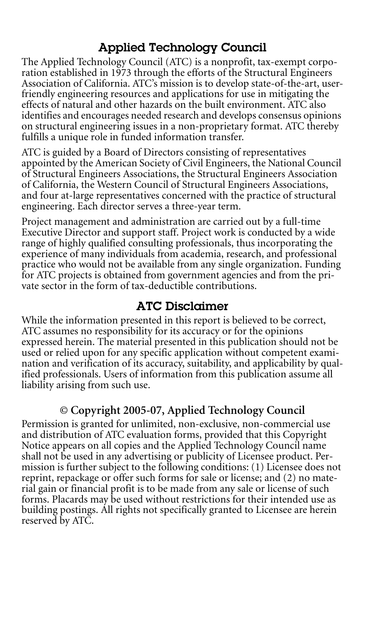### **Applied Technology Council**

The Applied Technology Council (ATC) is a nonprofit, tax-exempt corporation established in 1973 through the efforts of the Structural Engineers Association of California. ATC's mission is to develop state-of-the-art, userfriendly engineering resources and applications for use in mitigating the effects of natural and other hazards on the built environment. ATC also identifies and encourages needed research and develops consensus opinions on structural engineering issues in a non-proprietary format. ATC thereby fulfills a unique role in funded information transfer.

ATC is guided by a Board of Directors consisting of representatives appointed by the American Society of Civil Engineers, the National Council of Structural Engineers Associations, the Structural Engineers Association of California, the Western Council of Structural Engineers Associations, and four at-large representatives concerned with the practice of structural engineering. Each director serves a three-year term.

Project management and administration are carried out by a full-time Executive Director and support staff. Project work is conducted by a wide range of highly qualified consulting professionals, thus incorporating the experience of many individuals from academia, research, and professional practice who would not be available from any single organization. Funding for ATC projects is obtained from government agencies and from the private sector in the form of tax-deductible contributions.

#### **ATC Disclaimer**

While the information presented in this report is believed to be correct, ATC assumes no responsibility for its accuracy or for the opinions expressed herein. The material presented in this publication should not be used or relied upon for any specific application without competent examination and verification of its accuracy, suitability, and applicability by qualified professionals. Users of information from this publication assume all liability arising from such use.

#### **© Copyright 2005-07, Applied Technology Council**

Permission is granted for unlimited, non-exclusive, non-commercial use and distribution of ATC evaluation forms, provided that this Copyright Notice appears on all copies and the Applied Technology Council name shall not be used in any advertising or publicity of Licensee product. Permission is further subject to the following conditions: (1) Licensee does not reprint, repackage or offer such forms for sale or license; and (2) no material gain or financial profit is to be made from any sale or license of such forms. Placards may be used without restrictions for their intended use as building postings. All rights not specifically granted to Licensee are herein reserved by ATC.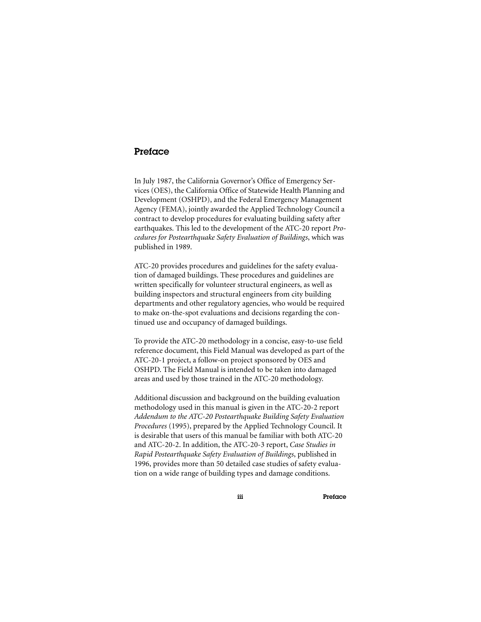## Preface

In July 1987, the California Governor's Office of Emergency Services (OES), the California Office of Statewide Health Planning and Development (OSHPD), and the Federal Emergency Management Agency (FEMA), jointly awarded the Applied Technology Council a contract to develop procedures for evaluating building safety after earthquakes. This led to the development of the ATC-20 report *Procedures for Postearthquake Safety Evaluation of Buildings*, which was published in 1989.

ATC-20 provides procedures and guidelines for the safety evaluation of damaged buildings. These procedures and guidelines are written specifically for volunteer structural engineers, as well as building inspectors and structural engineers from city building departments and other regulatory agencies, who would be required to make on-the-spot evaluations and decisions regarding the continued use and occupancy of damaged buildings.

To provide the ATC-20 methodology in a concise, easy-to-use field reference document, this Field Manual was developed as part of the ATC-20-1 project, a follow-on project sponsored by OES and OSHPD. The Field Manual is intended to be taken into damaged areas and used by those trained in the ATC-20 methodology.

Additional discussion and background on the building evaluation methodology used in this manual is given in the ATC-20-2 report *Addendum to the ATC-20 Postearthquake Building Safety Evaluation Procedures* (1995), prepared by the Applied Technology Council. It is desirable that users of this manual be familiar with both ATC-20 and ATC-20-2. In addition, the ATC-20-3 report, *Case Studies in Rapid Postearthquake Safety Evaluation of Buildings*, published in 1996, provides more than 50 detailed case studies of safety evaluation on a wide range of building types and damage conditions.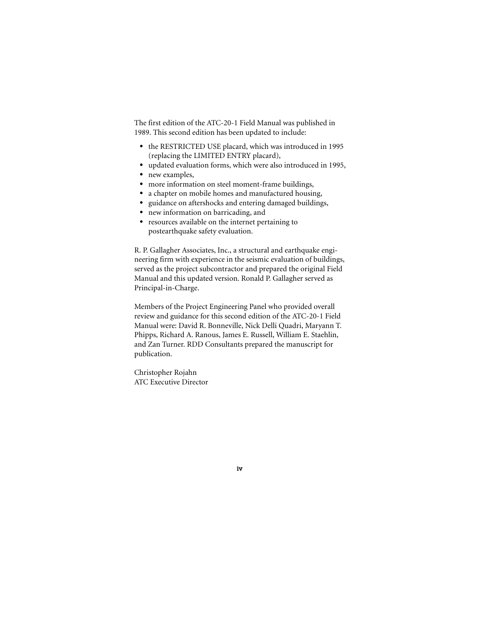The first edition of the ATC-20-1 Field Manual was published in 1989. This second edition has been updated to include:

- the RESTRICTED USE placard, which was introduced in 1995 (replacing the LIMITED ENTRY placard),
- updated evaluation forms, which were also introduced in 1995,
- new examples,
- more information on steel moment-frame buildings,
- a chapter on mobile homes and manufactured housing,
- guidance on aftershocks and entering damaged buildings,
- new information on barricading, and
- resources available on the internet pertaining to postearthquake safety evaluation.

R. P. Gallagher Associates, Inc., a structural and earthquake engineering firm with experience in the seismic evaluation of buildings, served as the project subcontractor and prepared the original Field Manual and this updated version. Ronald P. Gallagher served as Principal-in-Charge.

Members of the Project Engineering Panel who provided overall review and guidance for this second edition of the ATC-20-1 Field Manual were: David R. Bonneville, Nick Delli Quadri, Maryann T. Phipps, Richard A. Ranous, James E. Russell, William E. Staehlin, and Zan Turner. RDD Consultants prepared the manuscript for publication.

Christopher Rojahn ATC Executive Director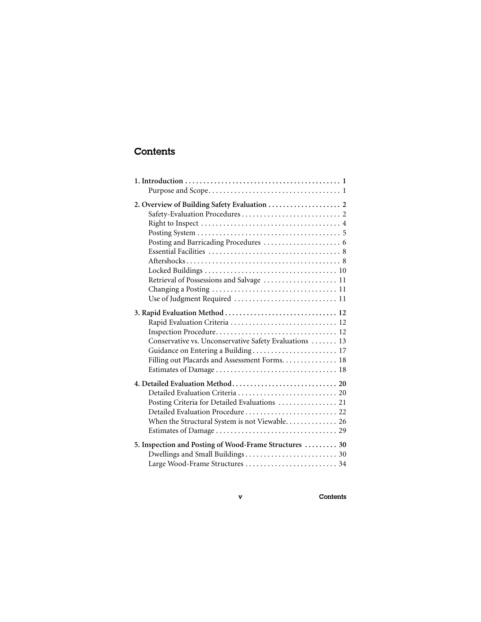# **Contents**

| 2. Overview of Building Safety Evaluation  2           |
|--------------------------------------------------------|
|                                                        |
|                                                        |
|                                                        |
|                                                        |
|                                                        |
|                                                        |
|                                                        |
| Retrieval of Possessions and Salvage  11               |
|                                                        |
| Use of Judgment Required  11                           |
| 3. Rapid Evaluation Method  12                         |
| Rapid Evaluation Criteria  12                          |
|                                                        |
| Conservative vs. Unconservative Safety Evaluations  13 |
| Guidance on Entering a Building 17                     |
| Filling out Placards and Assessment Forms. 18          |
|                                                        |
|                                                        |
|                                                        |
| Posting Criteria for Detailed Evaluations  21          |
| Detailed Evaluation Procedure 22                       |
| When the Structural System is not Viewable 26          |
|                                                        |
| 5. Inspection and Posting of Wood-Frame Structures  30 |
|                                                        |
|                                                        |
|                                                        |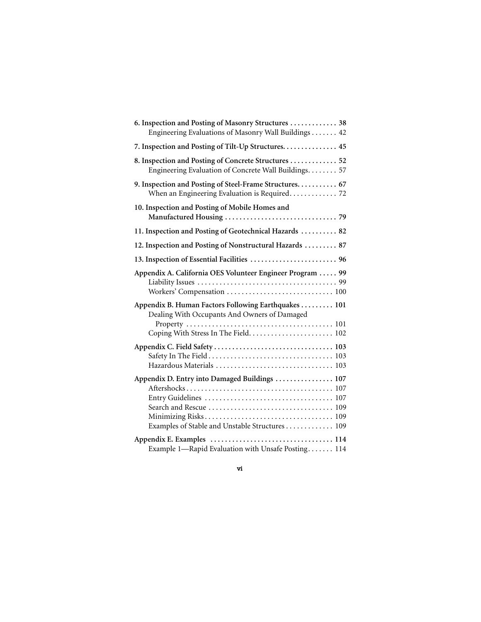| 6. Inspection and Posting of Masonry Structures  38<br>Engineering Evaluations of Masonry Wall Buildings 42  |
|--------------------------------------------------------------------------------------------------------------|
| 7. Inspection and Posting of Tilt-Up Structures. 45                                                          |
| 8. Inspection and Posting of Concrete Structures 52<br>Engineering Evaluation of Concrete Wall Buildings. 57 |
| 9. Inspection and Posting of Steel-Frame Structures. 67<br>When an Engineering Evaluation is Required 72     |
| 10. Inspection and Posting of Mobile Homes and                                                               |
| 11. Inspection and Posting of Geotechnical Hazards  82                                                       |
| 12. Inspection and Posting of Nonstructural Hazards  87                                                      |
| 13. Inspection of Essential Facilities  96                                                                   |
| Appendix A. California OES Volunteer Engineer Program  99                                                    |
| Appendix B. Human Factors Following Earthquakes 101<br>Dealing With Occupants And Owners of Damaged          |
|                                                                                                              |
| Appendix D. Entry into Damaged Buildings  107<br>Examples of Stable and Unstable Structures 109              |
| Example 1-Rapid Evaluation with Unsafe Posting 114                                                           |